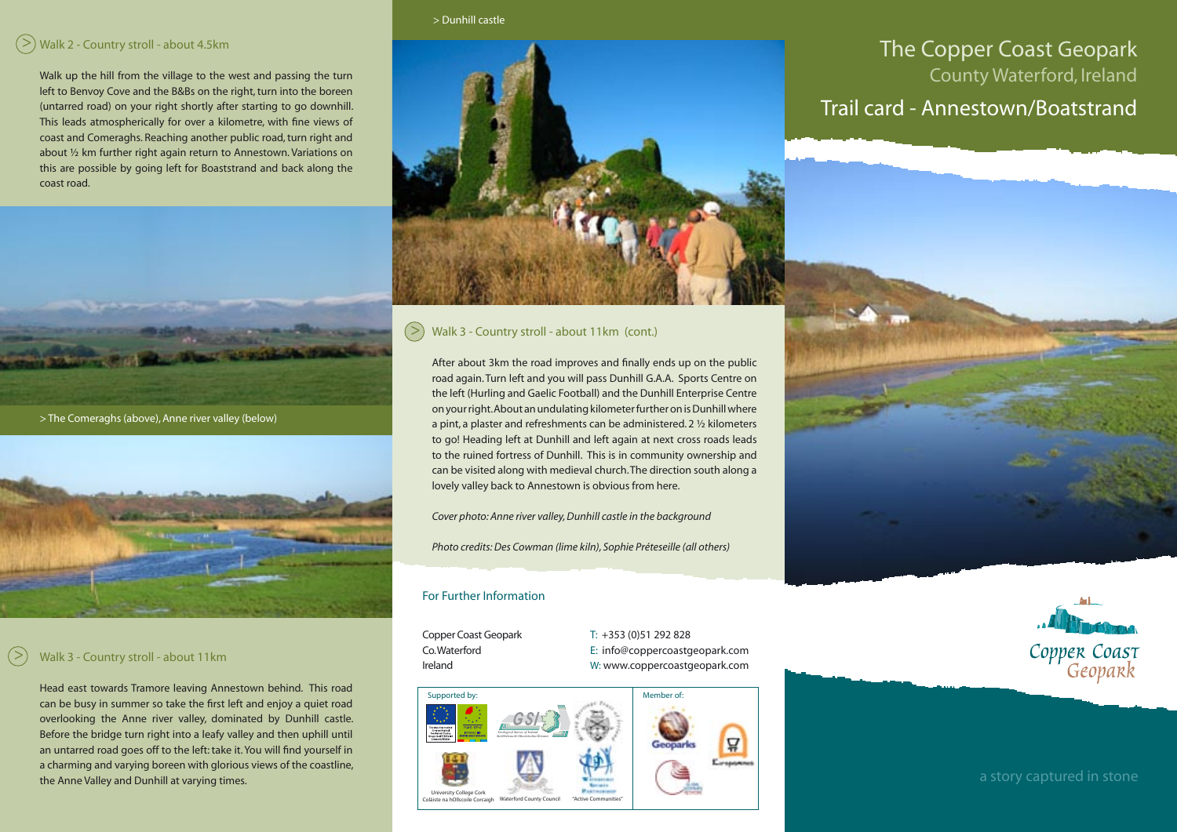## > Walk 2 - Country stroll - about 4.5km

Walk up the hill from the village to the west and passing the turn left to Benvoy Cove and the B&Bs on the right, turn into the boreen (untarred road) on your right shortly after starting to go downhill. This leads atmospherically for over a kilometre, with fine views of coast and Comeraghs. Reaching another public road, turn right and about ½ km further right again return to Annestown. Variations on this are possible by going left for Boaststrand and back along the coast road.



> The Comeraghs (above), Anne river valley (below)



## >

Head east towards Tramore leaving Annestown behind. This road can be busy in summer so take the first left and enjoy a quiet road overlooking the Anne river valley, dominated by Dunhill castle. Before the bridge turn right into a leafy valley and then uphill until an untarred road goes off to the left: take it. You will find yourself in a charming and varying boreen with glorious views of the coastline, the Anne Valley and Dunhill at varying times.

#### > Dunhill castle

# The Copper Coast Geopark County Waterford, Ireland Trail card - Annestown/Boatstrand

#### > Walk 3 - Country stroll - about 11km (cont.)

After about 3km the road improves and finally ends up on the public road again. Turn left and you will pass Dunhill G.A.A. Sports Centre on the left (Hurling and Gaelic Football) and the Dunhill Enterprise Centre on your right. About an undulating kilometer further on is Dunhill where a pint, a plaster and refreshments can be administered. 2 ½ kilometers to go! Heading left at Dunhill and left again at next cross roads leads to the ruined fortress of Dunhill. This is in community ownership and can be visited along with medieval church. The direction south along a lovely valley back to Annestown is obvious from here.

*Cover photo: Anne river valley, Dunhill castle in the background*

*Photo credits: Des Cowman (lime kiln), Sophie Préteseille (all others)*

#### For Further Information

Copper Coast Geopark T: +353 (0)51 292 828 Co. Waterford E: info@coppercoastgeopark.com Valk 3 - Country stroll - about 11km<br>Ireland W: www.coppercoastgeopark.com<br>W: www.coppercoastgeopark.com





a story captured in stone